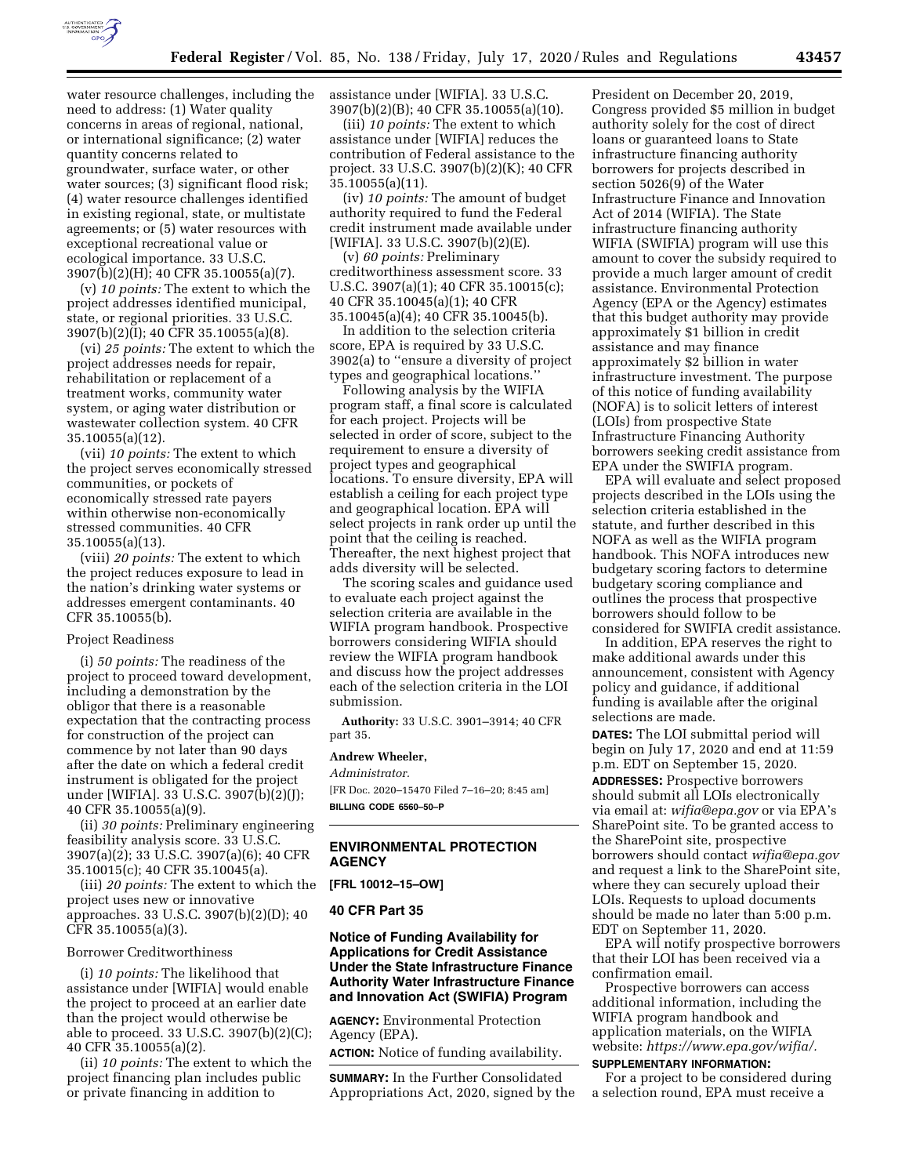

water resource challenges, including the need to address: (1) Water quality concerns in areas of regional, national, or international significance; (2) water quantity concerns related to groundwater, surface water, or other water sources; (3) significant flood risk; (4) water resource challenges identified in existing regional, state, or multistate agreements; or (5) water resources with exceptional recreational value or ecological importance. 33 U.S.C. 3907(b)(2)(H); 40 CFR 35.10055(a)(7).

(v) *10 points:* The extent to which the project addresses identified municipal, state, or regional priorities. 33 U.S.C. 3907(b)(2)(I); 40 CFR 35.10055(a)(8).

(vi) *25 points:* The extent to which the project addresses needs for repair, rehabilitation or replacement of a treatment works, community water system, or aging water distribution or wastewater collection system. 40 CFR 35.10055(a)(12).

(vii) *10 points:* The extent to which the project serves economically stressed communities, or pockets of economically stressed rate payers within otherwise non-economically stressed communities. 40 CFR 35.10055(a)(13).

(viii) *20 points:* The extent to which the project reduces exposure to lead in the nation's drinking water systems or addresses emergent contaminants. 40 CFR 35.10055(b).

### Project Readiness

(i) *50 points:* The readiness of the project to proceed toward development, including a demonstration by the obligor that there is a reasonable expectation that the contracting process for construction of the project can commence by not later than 90 days after the date on which a federal credit instrument is obligated for the project under [WIFIA]. 33 U.S.C. 3907(b)(2)(J); 40 CFR 35.10055(a)(9).

(ii) *30 points:* Preliminary engineering feasibility analysis score. 33 U.S.C. 3907(a)(2); 33 U.S.C. 3907(a)(6); 40 CFR 35.10015(c); 40 CFR 35.10045(a).

(iii) *20 points:* The extent to which the project uses new or innovative approaches. 33 U.S.C. 3907(b)(2)(D); 40 CFR 35.10055(a)(3).

### Borrower Creditworthiness

(i) *10 points:* The likelihood that assistance under [WIFIA] would enable the project to proceed at an earlier date than the project would otherwise be able to proceed. 33 U.S.C. 3907(b)(2)(C); 40 CFR 35.10055(a)(2).

(ii) *10 points:* The extent to which the project financing plan includes public or private financing in addition to

assistance under [WIFIA]. 33 U.S.C. 3907(b)(2)(B); 40 CFR 35.10055(a)(10).

(iii) *10 points:* The extent to which assistance under [WIFIA] reduces the contribution of Federal assistance to the project. 33 U.S.C. 3907(b)(2)(K); 40 CFR 35.10055(a)(11).

(iv) *10 points:* The amount of budget authority required to fund the Federal credit instrument made available under [WIFIA]. 33 U.S.C. 3907(b)(2)(E).

(v) *60 points:* Preliminary creditworthiness assessment score. 33 U.S.C. 3907(a)(1); 40 CFR 35.10015(c); 40 CFR 35.10045(a)(1); 40 CFR 35.10045(a)(4); 40 CFR 35.10045(b).

In addition to the selection criteria score, EPA is required by 33 U.S.C. 3902(a) to ''ensure a diversity of project types and geographical locations.

Following analysis by the WIFIA program staff, a final score is calculated for each project. Projects will be selected in order of score, subject to the requirement to ensure a diversity of project types and geographical locations. To ensure diversity, EPA will establish a ceiling for each project type and geographical location. EPA will select projects in rank order up until the point that the ceiling is reached. Thereafter, the next highest project that adds diversity will be selected.

The scoring scales and guidance used to evaluate each project against the selection criteria are available in the WIFIA program handbook. Prospective borrowers considering WIFIA should review the WIFIA program handbook and discuss how the project addresses each of the selection criteria in the LOI submission.

**Authority:** 33 U.S.C. 3901–3914; 40 CFR part 35.

# **Andrew Wheeler,**

*Administrator.* 

[FR Doc. 2020–15470 Filed 7–16–20; 8:45 am] **BILLING CODE 6560–50–P** 

# **ENVIRONMENTAL PROTECTION AGENCY**

**[FRL 10012–15–OW]** 

### **40 CFR Part 35**

**Notice of Funding Availability for Applications for Credit Assistance Under the State Infrastructure Finance Authority Water Infrastructure Finance and Innovation Act (SWIFIA) Program** 

**AGENCY:** Environmental Protection Agency (EPA).

**ACTION:** Notice of funding availability.

**SUMMARY:** In the Further Consolidated Appropriations Act, 2020, signed by the

President on December 20, 2019, Congress provided \$5 million in budget authority solely for the cost of direct loans or guaranteed loans to State infrastructure financing authority borrowers for projects described in section 5026(9) of the Water Infrastructure Finance and Innovation Act of 2014 (WIFIA). The State infrastructure financing authority WIFIA (SWIFIA) program will use this amount to cover the subsidy required to provide a much larger amount of credit assistance. Environmental Protection Agency (EPA or the Agency) estimates that this budget authority may provide approximately \$1 billion in credit assistance and may finance approximately \$2 billion in water infrastructure investment. The purpose of this notice of funding availability (NOFA) is to solicit letters of interest (LOIs) from prospective State Infrastructure Financing Authority borrowers seeking credit assistance from EPA under the SWIFIA program.

EPA will evaluate and select proposed projects described in the LOIs using the selection criteria established in the statute, and further described in this NOFA as well as the WIFIA program handbook. This NOFA introduces new budgetary scoring factors to determine budgetary scoring compliance and outlines the process that prospective borrowers should follow to be considered for SWIFIA credit assistance.

In addition, EPA reserves the right to make additional awards under this announcement, consistent with Agency policy and guidance, if additional funding is available after the original selections are made.

**DATES:** The LOI submittal period will begin on July 17, 2020 and end at 11:59 p.m. EDT on September 15, 2020. **ADDRESSES:** Prospective borrowers should submit all LOIs electronically via email at: *[wifia@epa.gov](mailto:wifia@epa.gov)* or via EPA's SharePoint site. To be granted access to the SharePoint site, prospective borrowers should contact *[wifia@epa.gov](mailto:wifia@epa.gov)*  and request a link to the SharePoint site, where they can securely upload their LOIs. Requests to upload documents should be made no later than 5:00 p.m. EDT on September 11, 2020.

EPA will notify prospective borrowers that their LOI has been received via a confirmation email.

Prospective borrowers can access additional information, including the WIFIA program handbook and application materials, on the WIFIA website: *[https://www.epa.gov/wifia/.](https://www.epa.gov/wifia/)* 

## **SUPPLEMENTARY INFORMATION:**

For a project to be considered during a selection round, EPA must receive a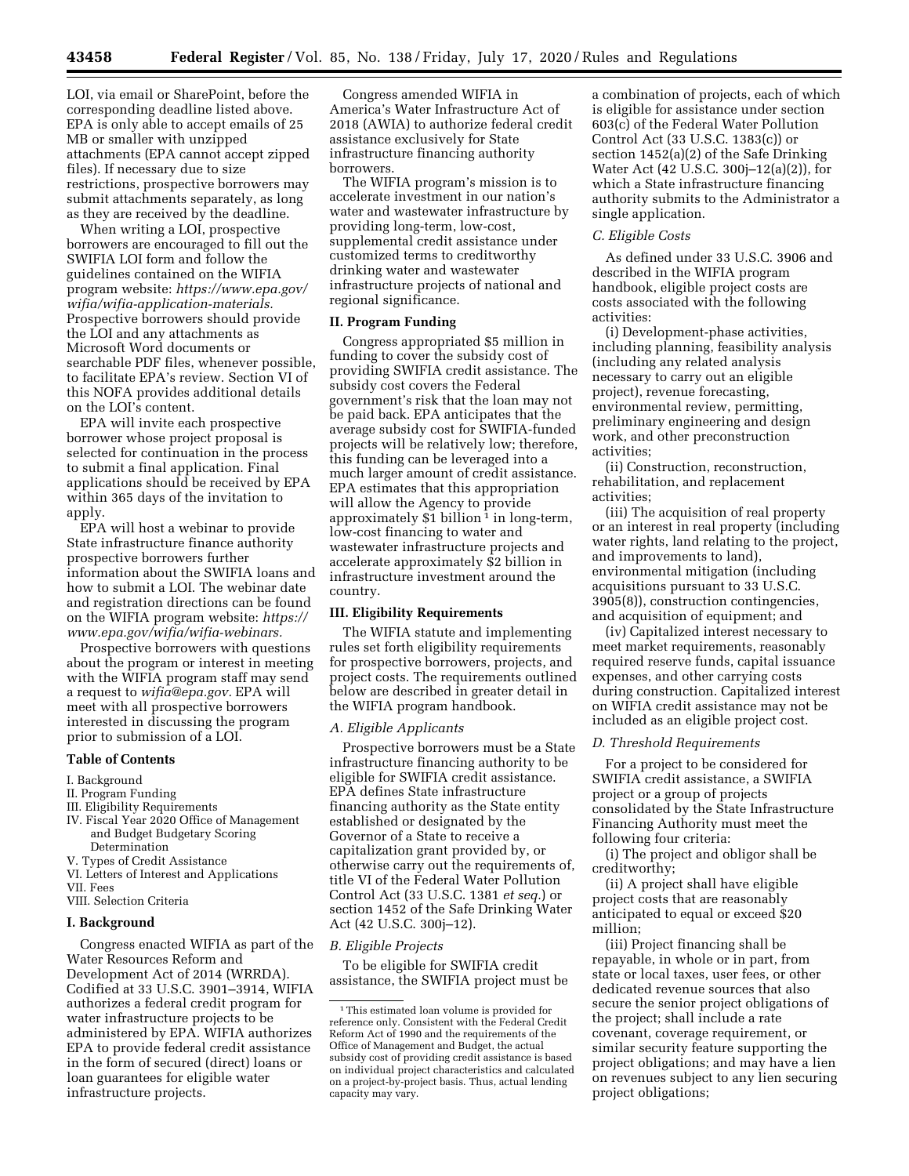LOI, via email or SharePoint, before the corresponding deadline listed above. EPA is only able to accept emails of 25 MB or smaller with unzipped attachments (EPA cannot accept zipped files). If necessary due to size restrictions, prospective borrowers may submit attachments separately, as long as they are received by the deadline.

When writing a LOI, prospective borrowers are encouraged to fill out the SWIFIA LOI form and follow the guidelines contained on the WIFIA program website: *[https://www.epa.gov/](https://www.epa.gov/wifia/wifia-application-materials) [wifia/wifia-application-materials.](https://www.epa.gov/wifia/wifia-application-materials)*  Prospective borrowers should provide the LOI and any attachments as Microsoft Word documents or searchable PDF files, whenever possible, to facilitate EPA's review. Section VI of this NOFA provides additional details on the LOI's content.

EPA will invite each prospective borrower whose project proposal is selected for continuation in the process to submit a final application. Final applications should be received by EPA within 365 days of the invitation to apply.

EPA will host a webinar to provide State infrastructure finance authority prospective borrowers further information about the SWIFIA loans and how to submit a LOI. The webinar date and registration directions can be found on the WIFIA program website: *[https://](https://www.epa.gov/wifia/wifia-webinars) [www.epa.gov/wifia/wifia-webinars.](https://www.epa.gov/wifia/wifia-webinars)* 

Prospective borrowers with questions about the program or interest in meeting with the WIFIA program staff may send a request to *[wifia@epa.gov.](mailto:wifia@epa.gov)* EPA will meet with all prospective borrowers interested in discussing the program prior to submission of a LOI.

## **Table of Contents**

### I. Background

- II. Program Funding
- III. Eligibility Requirements
- IV. Fiscal Year 2020 Office of Management and Budget Budgetary Scoring Determination
- V. Types of Credit Assistance
- VI. Letters of Interest and Applications VII. Fees
- VIII. Selection Criteria

### **I. Background**

Congress enacted WIFIA as part of the Water Resources Reform and Development Act of 2014 (WRRDA). Codified at 33 U.S.C. 3901–3914, WIFIA authorizes a federal credit program for water infrastructure projects to be administered by EPA. WIFIA authorizes EPA to provide federal credit assistance in the form of secured (direct) loans or loan guarantees for eligible water infrastructure projects.

Congress amended WIFIA in America's Water Infrastructure Act of 2018 (AWIA) to authorize federal credit assistance exclusively for State infrastructure financing authority borrowers.

The WIFIA program's mission is to accelerate investment in our nation's water and wastewater infrastructure by providing long-term, low-cost, supplemental credit assistance under customized terms to creditworthy drinking water and wastewater infrastructure projects of national and regional significance.

## **II. Program Funding**

Congress appropriated \$5 million in funding to cover the subsidy cost of providing SWIFIA credit assistance. The subsidy cost covers the Federal government's risk that the loan may not be paid back. EPA anticipates that the average subsidy cost for SWIFIA-funded projects will be relatively low; therefore, this funding can be leveraged into a much larger amount of credit assistance. EPA estimates that this appropriation will allow the Agency to provide approximately \$1 billion<sup>1</sup> in long-term, low-cost financing to water and wastewater infrastructure projects and accelerate approximately \$2 billion in infrastructure investment around the country.

### **III. Eligibility Requirements**

The WIFIA statute and implementing rules set forth eligibility requirements for prospective borrowers, projects, and project costs. The requirements outlined below are described in greater detail in the WIFIA program handbook.

### *A. Eligible Applicants*

Prospective borrowers must be a State infrastructure financing authority to be eligible for SWIFIA credit assistance. EPA defines State infrastructure financing authority as the State entity established or designated by the Governor of a State to receive a capitalization grant provided by, or otherwise carry out the requirements of, title VI of the Federal Water Pollution Control Act (33 U.S.C. 1381 *et seq.*) or section 1452 of the Safe Drinking Water Act (42 U.S.C. 300j–12).

### *B. Eligible Projects*

To be eligible for SWIFIA credit assistance, the SWIFIA project must be

a combination of projects, each of which is eligible for assistance under section 603(c) of the Federal Water Pollution Control Act (33 U.S.C. 1383(c)) or section 1452(a)(2) of the Safe Drinking Water Act (42 U.S.C. 300j–12(a)(2)), for which a State infrastructure financing authority submits to the Administrator a single application.

## *C. Eligible Costs*

As defined under 33 U.S.C. 3906 and described in the WIFIA program handbook, eligible project costs are costs associated with the following activities:

(i) Development-phase activities, including planning, feasibility analysis (including any related analysis necessary to carry out an eligible project), revenue forecasting, environmental review, permitting, preliminary engineering and design work, and other preconstruction activities;

(ii) Construction, reconstruction, rehabilitation, and replacement activities;

(iii) The acquisition of real property or an interest in real property (including water rights, land relating to the project, and improvements to land), environmental mitigation (including acquisitions pursuant to 33 U.S.C. 3905(8)), construction contingencies, and acquisition of equipment; and

(iv) Capitalized interest necessary to meet market requirements, reasonably required reserve funds, capital issuance expenses, and other carrying costs during construction. Capitalized interest on WIFIA credit assistance may not be included as an eligible project cost.

### *D. Threshold Requirements*

For a project to be considered for SWIFIA credit assistance, a SWIFIA project or a group of projects consolidated by the State Infrastructure Financing Authority must meet the following four criteria:

(i) The project and obligor shall be creditworthy;

(ii) A project shall have eligible project costs that are reasonably anticipated to equal or exceed \$20 million;

(iii) Project financing shall be repayable, in whole or in part, from state or local taxes, user fees, or other dedicated revenue sources that also secure the senior project obligations of the project; shall include a rate covenant, coverage requirement, or similar security feature supporting the project obligations; and may have a lien on revenues subject to any lien securing project obligations;

<sup>1</sup>This estimated loan volume is provided for reference only. Consistent with the Federal Credit Reform Act of 1990 and the requirements of the Office of Management and Budget, the actual subsidy cost of providing credit assistance is based on individual project characteristics and calculated on a project-by-project basis. Thus, actual lending capacity may vary.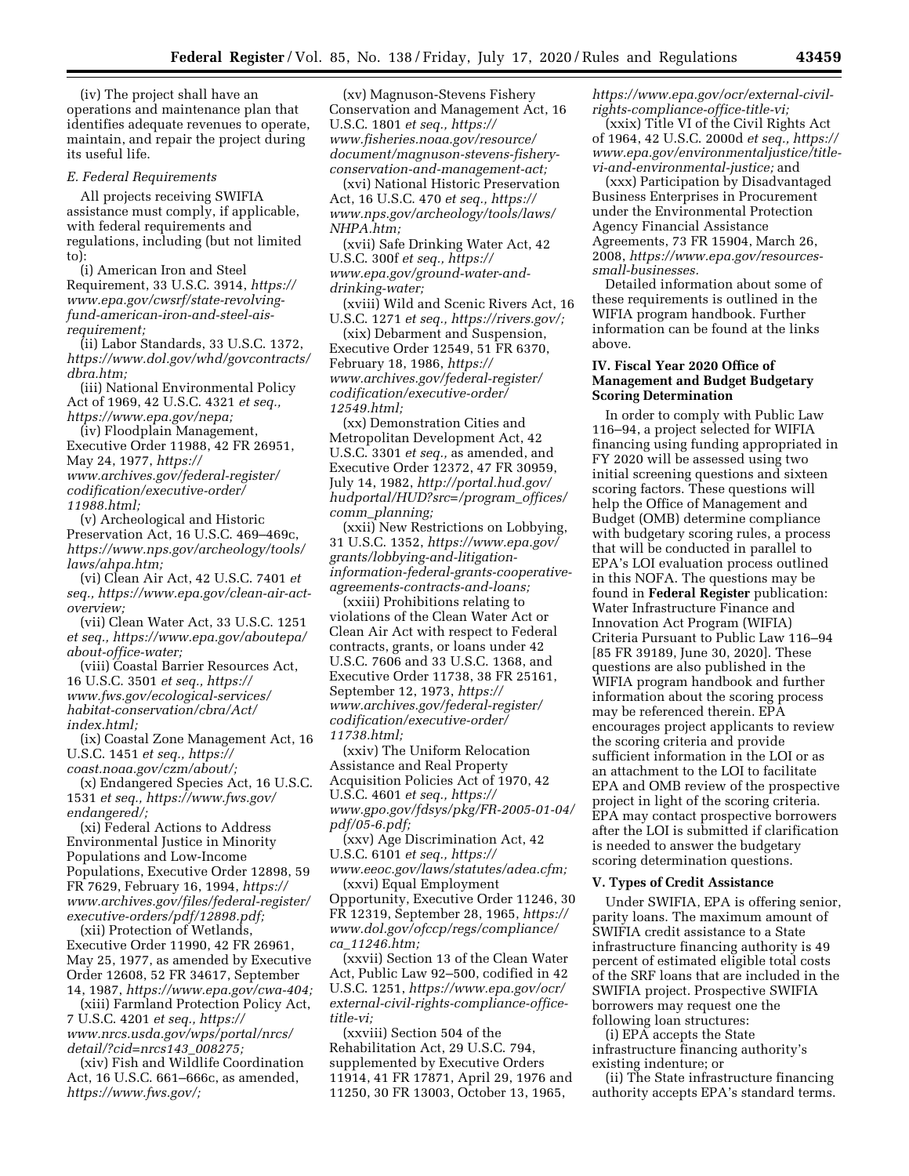(iv) The project shall have an operations and maintenance plan that identifies adequate revenues to operate, maintain, and repair the project during its useful life.

## *E. Federal Requirements*

All projects receiving SWIFIA assistance must comply, if applicable, with federal requirements and regulations, including (but not limited to):

(i) American Iron and Steel Requirement, 33 U.S.C. 3914, *[https://](https://www.epa.gov/cwsrf/state-revolving-fund-american-iron-and-steel-ais-requirement) [www.epa.gov/cwsrf/state-revolving](https://www.epa.gov/cwsrf/state-revolving-fund-american-iron-and-steel-ais-requirement)[fund-american-iron-and-steel-ais](https://www.epa.gov/cwsrf/state-revolving-fund-american-iron-and-steel-ais-requirement)[requirement;](https://www.epa.gov/cwsrf/state-revolving-fund-american-iron-and-steel-ais-requirement)* 

(ii) Labor Standards, 33 U.S.C. 1372, *[https://www.dol.gov/whd/govcontracts/](https://www.dol.gov/whd/govcontracts/dbra.htm) [dbra.htm;](https://www.dol.gov/whd/govcontracts/dbra.htm)* 

(iii) National Environmental Policy Act of 1969, 42 U.S.C. 4321 *et seq., [https://www.epa.gov/nepa;](https://www.epa.gov/nepa)* 

(iv) Floodplain Management, Executive Order 11988, 42 FR 26951, May 24, 1977, *[https://](https://www.archives.gov/federal-register/codification/executive-order/11988.html) [www.archives.gov/federal-register/](https://www.archives.gov/federal-register/codification/executive-order/11988.html) [codification/executive-order/](https://www.archives.gov/federal-register/codification/executive-order/11988.html)  [11988.html;](https://www.archives.gov/federal-register/codification/executive-order/11988.html)* 

(v) Archeological and Historic Preservation Act, 16 U.S.C. 469–469c, *[https://www.nps.gov/archeology/tools/](https://www.nps.gov/archeology/tools/laws/ahpa.htm)  [laws/ahpa.htm;](https://www.nps.gov/archeology/tools/laws/ahpa.htm)* 

(vi) Clean Air Act, 42 U.S.C. 7401 *et seq., [https://www.epa.gov/clean-air-act](https://www.epa.gov/clean-air-act-overview)[overview;](https://www.epa.gov/clean-air-act-overview)* 

(vii) Clean Water Act, 33 U.S.C. 1251 *et seq., [https://www.epa.gov/aboutepa/](https://www.epa.gov/aboutepa/about-office-water)  [about-office-water;](https://www.epa.gov/aboutepa/about-office-water)* 

(viii) Coastal Barrier Resources Act, 16 U.S.C. 3501 *et seq., [https://](https://www.fws.gov/ecological-services/habitat-conservation/cbra/Act/index.html) [www.fws.gov/ecological-services/](https://www.fws.gov/ecological-services/habitat-conservation/cbra/Act/index.html)  [habitat-conservation/cbra/Act/](https://www.fws.gov/ecological-services/habitat-conservation/cbra/Act/index.html) [index.html;](https://www.fws.gov/ecological-services/habitat-conservation/cbra/Act/index.html)* 

(ix) Coastal Zone Management Act, 16 U.S.C. 1451 *et seq., [https://](https://coast.noaa.gov/czm/about/)*

*[coast.noaa.gov/czm/about/;](https://coast.noaa.gov/czm/about/)*  (x) Endangered Species Act, 16 U.S.C. 1531 *et seq., [https://www.fws.gov/](https://www.fws.gov/endangered/)  [endangered/;](https://www.fws.gov/endangered/)* 

(xi) Federal Actions to Address Environmental Justice in Minority Populations and Low-Income Populations, Executive Order 12898, 59 FR 7629, February 16, 1994, *[https://](https://www.archives.gov/files/federal-register/executive-orders/pdf/12898.pdf) [www.archives.gov/files/federal-register/](https://www.archives.gov/files/federal-register/executive-orders/pdf/12898.pdf) [executive-orders/pdf/12898.pdf;](https://www.archives.gov/files/federal-register/executive-orders/pdf/12898.pdf)* 

(xii) Protection of Wetlands, Executive Order 11990, 42 FR 26961, May 25, 1977, as amended by Executive Order 12608, 52 FR 34617, September 14, 1987, *[https://www.epa.gov/cwa-404;](https://www.epa.gov/cwa-404)* 

(xiii) Farmland Protection Policy Act, 7 U.S.C. 4201 *et seq., [https://](https://www.nrcs.usda.gov/wps/portal/nrcs/detail/?cid=nrcs143_008275) [www.nrcs.usda.gov/wps/portal/nrcs/](https://www.nrcs.usda.gov/wps/portal/nrcs/detail/?cid=nrcs143_008275) [detail/?cid=nrcs143](https://www.nrcs.usda.gov/wps/portal/nrcs/detail/?cid=nrcs143_008275)*\_*008275;* 

(xiv) Fish and Wildlife Coordination Act, 16 U.S.C. 661–666c, as amended, *[https://www.fws.gov/;](https://www.fws.gov/)* 

(xv) Magnuson-Stevens Fishery Conservation and Management Act, 16 U.S.C. 1801 *et seq., [https://](https://www.fisheries.noaa.gov/resource/document/magnuson-stevens-fishery-conservation-and-management-act) [www.fisheries.noaa.gov/resource/](https://www.fisheries.noaa.gov/resource/document/magnuson-stevens-fishery-conservation-and-management-act) [document/magnuson-stevens-fishery](https://www.fisheries.noaa.gov/resource/document/magnuson-stevens-fishery-conservation-and-management-act)[conservation-and-management-act;](https://www.fisheries.noaa.gov/resource/document/magnuson-stevens-fishery-conservation-and-management-act)* 

(xvi) National Historic Preservation Act, 16 U.S.C. 470 *et seq., [https://](https://www.nps.gov/archeology/tools/laws/NHPA.htm) [www.nps.gov/archeology/tools/laws/](https://www.nps.gov/archeology/tools/laws/NHPA.htm) [NHPA.htm;](https://www.nps.gov/archeology/tools/laws/NHPA.htm)* 

(xvii) Safe Drinking Water Act, 42 U.S.C. 300f *et seq., [https://](https://www.epa.gov/ground-water-and-drinking-water) [www.epa.gov/ground-water-and](https://www.epa.gov/ground-water-and-drinking-water)[drinking-water;](https://www.epa.gov/ground-water-and-drinking-water)* 

(xviii) Wild and Scenic Rivers Act, 16 U.S.C. 1271 *et seq., [https://rivers.gov/;](https://rivers.gov/)* 

(xix) Debarment and Suspension, Executive Order 12549, 51 FR 6370, February 18, 1986, *[https://](https://www.archives.gov/federal-register/codification/executive-order/12549.html) [www.archives.gov/federal-register/](https://www.archives.gov/federal-register/codification/executive-order/12549.html) [codification/executive-order/](https://www.archives.gov/federal-register/codification/executive-order/12549.html)  [12549.html;](https://www.archives.gov/federal-register/codification/executive-order/12549.html)* 

(xx) Demonstration Cities and Metropolitan Development Act, 42 U.S.C. 3301 *et seq.,* as amended, and Executive Order 12372, 47 FR 30959, July 14, 1982, *[http://portal.hud.gov/](http://portal.hud.gov/hudportal/HUD?src=/program_offices/comm_planning) [hudportal/HUD?src=/program](http://portal.hud.gov/hudportal/HUD?src=/program_offices/comm_planning)*\_*offices/ comm*\_*[planning;](http://portal.hud.gov/hudportal/HUD?src=/program_offices/comm_planning)* 

(xxii) New Restrictions on Lobbying, 31 U.S.C. 1352, *[https://www.epa.gov/](https://www.epa.gov/grants/lobbying-and-litigation-information-federal-grants-cooperative-agreements-contracts-and-loans)  [grants/lobbying-and-litigation](https://www.epa.gov/grants/lobbying-and-litigation-information-federal-grants-cooperative-agreements-contracts-and-loans)[information-federal-grants-cooperative](https://www.epa.gov/grants/lobbying-and-litigation-information-federal-grants-cooperative-agreements-contracts-and-loans)[agreements-contracts-and-loans;](https://www.epa.gov/grants/lobbying-and-litigation-information-federal-grants-cooperative-agreements-contracts-and-loans)* 

(xxiii) Prohibitions relating to violations of the Clean Water Act or Clean Air Act with respect to Federal contracts, grants, or loans under 42 U.S.C. 7606 and 33 U.S.C. 1368, and Executive Order 11738, 38 FR 25161, September 12, 1973, *[https://](https://www.archives.gov/federal-register/codification/executive-order/11738.html) [www.archives.gov/federal-register/](https://www.archives.gov/federal-register/codification/executive-order/11738.html) [codification/executive-order/](https://www.archives.gov/federal-register/codification/executive-order/11738.html)  [11738.html;](https://www.archives.gov/federal-register/codification/executive-order/11738.html)* 

(xxiv) The Uniform Relocation Assistance and Real Property Acquisition Policies Act of 1970, 42 U.S.C. 4601 *et seq., [https://](https://www.gpo.gov/fdsys/pkg/FR-2005-01-04/pdf/05-6.pdf) [www.gpo.gov/fdsys/pkg/FR-2005-01-04/](https://www.gpo.gov/fdsys/pkg/FR-2005-01-04/pdf/05-6.pdf) [pdf/05-6.pdf;](https://www.gpo.gov/fdsys/pkg/FR-2005-01-04/pdf/05-6.pdf)* 

(xxv) Age Discrimination Act, 42 U.S.C. 6101 *et seq., [https://](https://www.eeoc.gov/laws/statutes/adea.cfm)*

*[www.eeoc.gov/laws/statutes/adea.cfm;](https://www.eeoc.gov/laws/statutes/adea.cfm)*  (xxvi) Equal Employment

Opportunity, Executive Order 11246, 30 FR 12319, September 28, 1965, *[https://](https://www.dol.gov/ofccp/regs/compliance/ca_11246.htm)  [www.dol.gov/ofccp/regs/compliance/](https://www.dol.gov/ofccp/regs/compliance/ca_11246.htm) ca*\_*[11246.htm;](https://www.dol.gov/ofccp/regs/compliance/ca_11246.htm)* 

(xxvii) Section 13 of the Clean Water Act, Public Law 92–500, codified in 42 U.S.C. 1251, *[https://www.epa.gov/ocr/](https://www.epa.gov/ocr/external-civil-rights-compliance-office-title-vi)  [external-civil-rights-compliance-office](https://www.epa.gov/ocr/external-civil-rights-compliance-office-title-vi)[title-vi;](https://www.epa.gov/ocr/external-civil-rights-compliance-office-title-vi)* 

(xxviii) Section 504 of the Rehabilitation Act, 29 U.S.C. 794, supplemented by Executive Orders 11914, 41 FR 17871, April 29, 1976 and 11250, 30 FR 13003, October 13, 1965,

*[https://www.epa.gov/ocr/external-civil](https://www.epa.gov/ocr/external-civil-rights-compliance-office-title-vi)[rights-compliance-office-title-vi;](https://www.epa.gov/ocr/external-civil-rights-compliance-office-title-vi)* 

(xxix) Title VI of the Civil Rights Act of 1964, 42 U.S.C. 2000d *et seq., [https://](https://www.epa.gov/environmentaljustice/title-vi-and-environmental-justice)  [www.epa.gov/environmentaljustice/title](https://www.epa.gov/environmentaljustice/title-vi-and-environmental-justice)[vi-and-environmental-justice;](https://www.epa.gov/environmentaljustice/title-vi-and-environmental-justice)* and

(xxx) Participation by Disadvantaged Business Enterprises in Procurement under the Environmental Protection Agency Financial Assistance Agreements, 73 FR 15904, March 26, 2008, *[https://www.epa.gov/resources](https://www.epa.gov/resources-small-businesses)[small-businesses.](https://www.epa.gov/resources-small-businesses)* 

Detailed information about some of these requirements is outlined in the WIFIA program handbook. Further information can be found at the links above.

# **IV. Fiscal Year 2020 Office of Management and Budget Budgetary Scoring Determination**

In order to comply with Public Law 116–94, a project selected for WIFIA financing using funding appropriated in FY 2020 will be assessed using two initial screening questions and sixteen scoring factors. These questions will help the Office of Management and Budget (OMB) determine compliance with budgetary scoring rules, a process that will be conducted in parallel to EPA's LOI evaluation process outlined in this NOFA. The questions may be found in **Federal Register** publication: Water Infrastructure Finance and Innovation Act Program (WIFIA) Criteria Pursuant to Public Law 116–94 [85 FR 39189, June 30, 2020]. These questions are also published in the WIFIA program handbook and further information about the scoring process may be referenced therein. EPA encourages project applicants to review the scoring criteria and provide sufficient information in the LOI or as an attachment to the LOI to facilitate EPA and OMB review of the prospective project in light of the scoring criteria. EPA may contact prospective borrowers after the LOI is submitted if clarification is needed to answer the budgetary scoring determination questions.

# **V. Types of Credit Assistance**

Under SWIFIA, EPA is offering senior, parity loans. The maximum amount of SWIFIA credit assistance to a State infrastructure financing authority is 49 percent of estimated eligible total costs of the SRF loans that are included in the SWIFIA project. Prospective SWIFIA borrowers may request one the following loan structures:

(i) EPA accepts the State infrastructure financing authority's existing indenture; or

(ii) The State infrastructure financing authority accepts EPA's standard terms.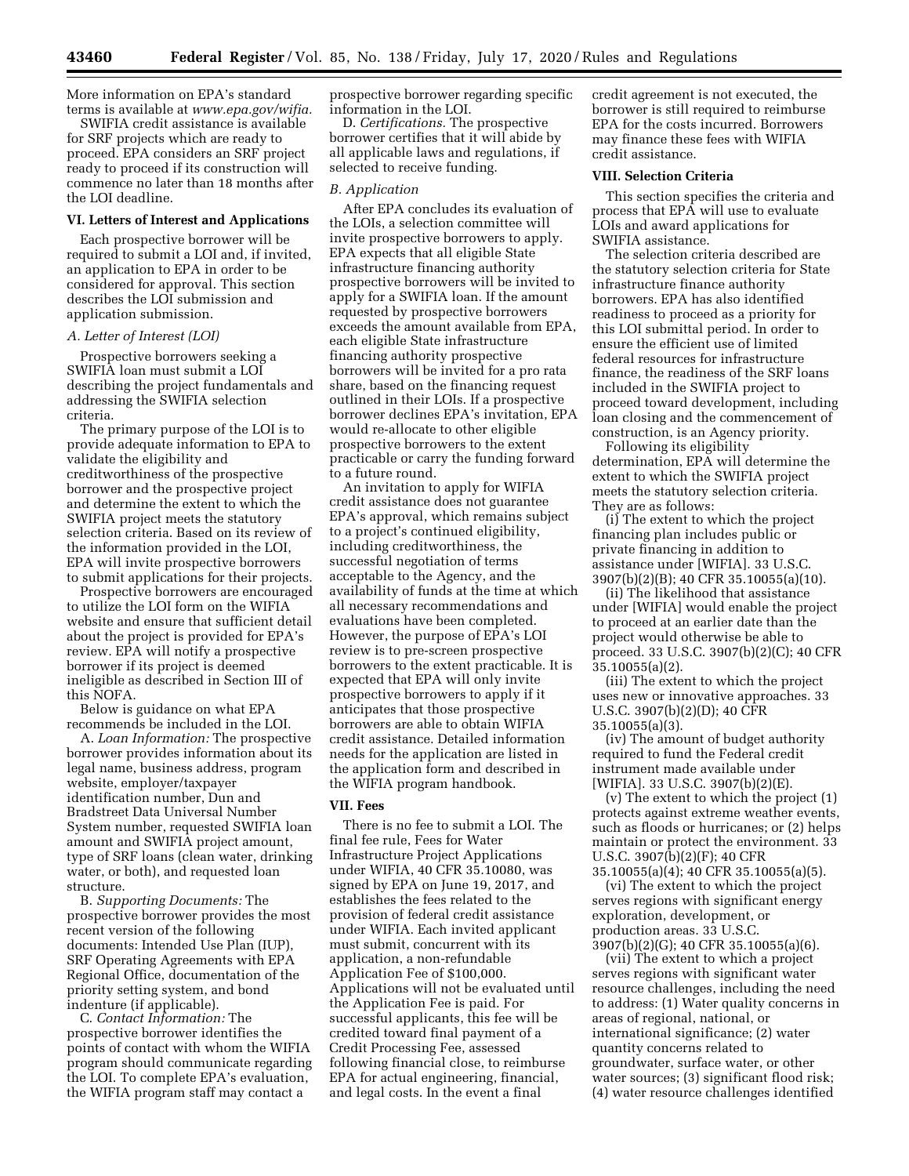More information on EPA's standard terms is available at *[www.epa.gov/wifia.](http://www.epa.gov/wifia)* 

SWIFIA credit assistance is available for SRF projects which are ready to proceed. EPA considers an SRF project ready to proceed if its construction will commence no later than 18 months after the LOI deadline.

## **VI. Letters of Interest and Applications**

Each prospective borrower will be required to submit a LOI and, if invited, an application to EPA in order to be considered for approval. This section describes the LOI submission and application submission.

### *A. Letter of Interest (LOI)*

Prospective borrowers seeking a SWIFIA loan must submit a LOI describing the project fundamentals and addressing the SWIFIA selection criteria.

The primary purpose of the LOI is to provide adequate information to EPA to validate the eligibility and creditworthiness of the prospective borrower and the prospective project and determine the extent to which the SWIFIA project meets the statutory selection criteria. Based on its review of the information provided in the LOI, EPA will invite prospective borrowers to submit applications for their projects.

Prospective borrowers are encouraged to utilize the LOI form on the WIFIA website and ensure that sufficient detail about the project is provided for EPA's review. EPA will notify a prospective borrower if its project is deemed ineligible as described in Section III of this NOFA.

Below is guidance on what EPA recommends be included in the LOI.

A. *Loan Information:* The prospective borrower provides information about its legal name, business address, program website, employer/taxpayer identification number, Dun and Bradstreet Data Universal Number System number, requested SWIFIA loan amount and SWIFIA project amount, type of SRF loans (clean water, drinking water, or both), and requested loan structure.

B. *Supporting Documents:* The prospective borrower provides the most recent version of the following documents: Intended Use Plan (IUP), SRF Operating Agreements with EPA Regional Office, documentation of the priority setting system, and bond indenture (if applicable).

C. *Contact Information:* The prospective borrower identifies the points of contact with whom the WIFIA program should communicate regarding the LOI. To complete EPA's evaluation, the WIFIA program staff may contact a

prospective borrower regarding specific information in the LOI.

D. *Certifications.* The prospective borrower certifies that it will abide by all applicable laws and regulations, if selected to receive funding.

### *B. Application*

After EPA concludes its evaluation of the LOIs, a selection committee will invite prospective borrowers to apply. EPA expects that all eligible State infrastructure financing authority prospective borrowers will be invited to apply for a SWIFIA loan. If the amount requested by prospective borrowers exceeds the amount available from EPA, each eligible State infrastructure financing authority prospective borrowers will be invited for a pro rata share, based on the financing request outlined in their LOIs. If a prospective borrower declines EPA's invitation, EPA would re-allocate to other eligible prospective borrowers to the extent practicable or carry the funding forward to a future round.

An invitation to apply for WIFIA credit assistance does not guarantee EPA's approval, which remains subject to a project's continued eligibility, including creditworthiness, the successful negotiation of terms acceptable to the Agency, and the availability of funds at the time at which all necessary recommendations and evaluations have been completed. However, the purpose of EPA's LOI review is to pre-screen prospective borrowers to the extent practicable. It is expected that EPA will only invite prospective borrowers to apply if it anticipates that those prospective borrowers are able to obtain WIFIA credit assistance. Detailed information needs for the application are listed in the application form and described in the WIFIA program handbook.

## **VII. Fees**

There is no fee to submit a LOI. The final fee rule, Fees for Water Infrastructure Project Applications under WIFIA, 40 CFR 35.10080, was signed by EPA on June 19, 2017, and establishes the fees related to the provision of federal credit assistance under WIFIA. Each invited applicant must submit, concurrent with its application, a non-refundable Application Fee of \$100,000. Applications will not be evaluated until the Application Fee is paid. For successful applicants, this fee will be credited toward final payment of a Credit Processing Fee, assessed following financial close, to reimburse EPA for actual engineering, financial, and legal costs. In the event a final

credit agreement is not executed, the borrower is still required to reimburse EPA for the costs incurred. Borrowers may finance these fees with WIFIA credit assistance.

## **VIII. Selection Criteria**

This section specifies the criteria and process that EPA will use to evaluate LOIs and award applications for SWIFIA assistance.

The selection criteria described are the statutory selection criteria for State infrastructure finance authority borrowers. EPA has also identified readiness to proceed as a priority for this LOI submittal period. In order to ensure the efficient use of limited federal resources for infrastructure finance, the readiness of the SRF loans included in the SWIFIA project to proceed toward development, including loan closing and the commencement of construction, is an Agency priority.

Following its eligibility determination, EPA will determine the extent to which the SWIFIA project meets the statutory selection criteria. They are as follows:

(i) The extent to which the project financing plan includes public or private financing in addition to assistance under [WIFIA]. 33 U.S.C. 3907(b)(2)(B); 40 CFR 35.10055(a)(10).

(ii) The likelihood that assistance under [WIFIA] would enable the project to proceed at an earlier date than the project would otherwise be able to proceed. 33 U.S.C. 3907(b)(2)(C); 40 CFR  $35.10055(a)(2)$ .

(iii) The extent to which the project uses new or innovative approaches. 33 U.S.C. 3907(b)(2)(D); 40 CFR 35.10055(a)(3).

(iv) The amount of budget authority required to fund the Federal credit instrument made available under [WIFIA]. 33 U.S.C. 3907(b)(2)(E).

(v) The extent to which the project (1) protects against extreme weather events, such as floods or hurricanes; or (2) helps maintain or protect the environment. 33 U.S.C. 3907(b)(2)(F); 40 CFR 35.10055(a)(4); 40 CFR 35.10055(a)(5).

(vi) The extent to which the project serves regions with significant energy exploration, development, or production areas. 33 U.S.C. 3907(b)(2)(G); 40 CFR 35.10055(a)(6).

(vii) The extent to which a project serves regions with significant water resource challenges, including the need to address: (1) Water quality concerns in areas of regional, national, or international significance; (2) water quantity concerns related to groundwater, surface water, or other water sources; (3) significant flood risk; (4) water resource challenges identified